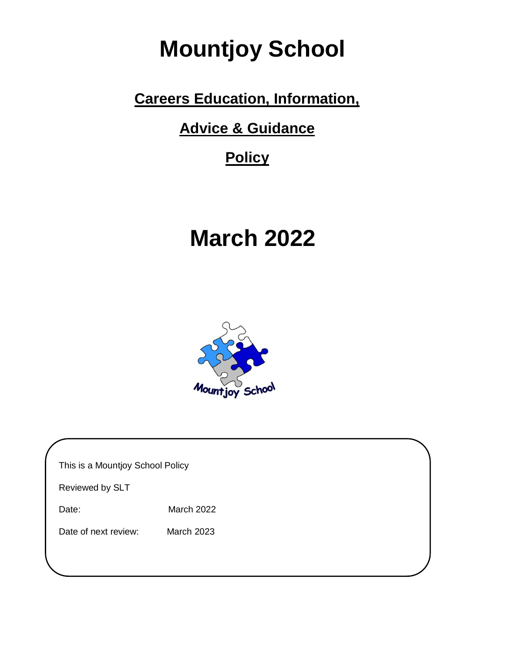# **Mountjoy School**

## **Careers Education, Information,**

**Advice & Guidance**

## **Policy**

# **March 2022**



| This is a Mountjoy School Policy |                   |  |  |
|----------------------------------|-------------------|--|--|
| Reviewed by SLT                  |                   |  |  |
| Date:                            | March 2022        |  |  |
| Date of next review:             | <b>March 2023</b> |  |  |
|                                  |                   |  |  |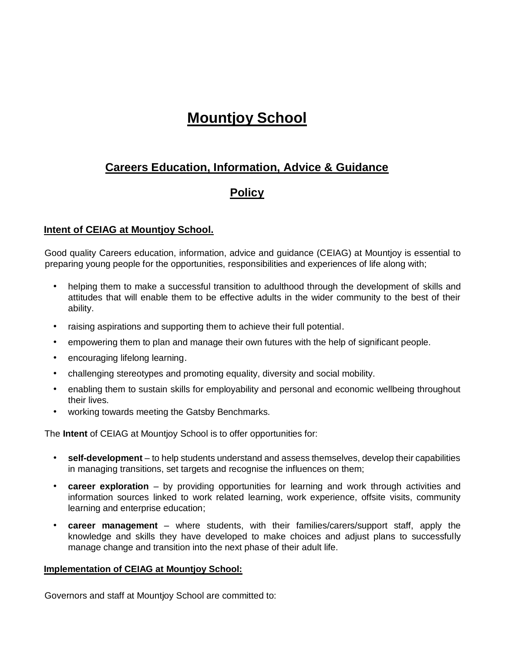## **Mountjoy School**

### **Careers Education, Information, Advice & Guidance**

### **Policy**

#### **Intent of CEIAG at Mountjoy School.**

Good quality Careers education, information, advice and guidance (CEIAG) at Mountjoy is essential to preparing young people for the opportunities, responsibilities and experiences of life along with;

- helping them to make a successful transition to adulthood through the development of skills and attitudes that will enable them to be effective adults in the wider community to the best of their ability.
- raising aspirations and supporting them to achieve their full potential.
- empowering them to plan and manage their own futures with the help of significant people.
- encouraging lifelong learning.
- challenging stereotypes and promoting equality, diversity and social mobility.
- enabling them to sustain skills for employability and personal and economic wellbeing throughout their lives.
- working towards meeting the Gatsby Benchmarks.

The **Intent** of CEIAG at Mountjoy School is to offer opportunities for:

- **self-development** to help students understand and assess themselves, develop their capabilities in managing transitions, set targets and recognise the influences on them;
- **career exploration** by providing opportunities for learning and work through activities and information sources linked to work related learning, work experience, offsite visits, community learning and enterprise education;
- **career management** where students, with their families/carers/support staff, apply the knowledge and skills they have developed to make choices and adjust plans to successfully manage change and transition into the next phase of their adult life.

#### **Implementation of CEIAG at Mountjoy School:**

Governors and staff at Mountjoy School are committed to: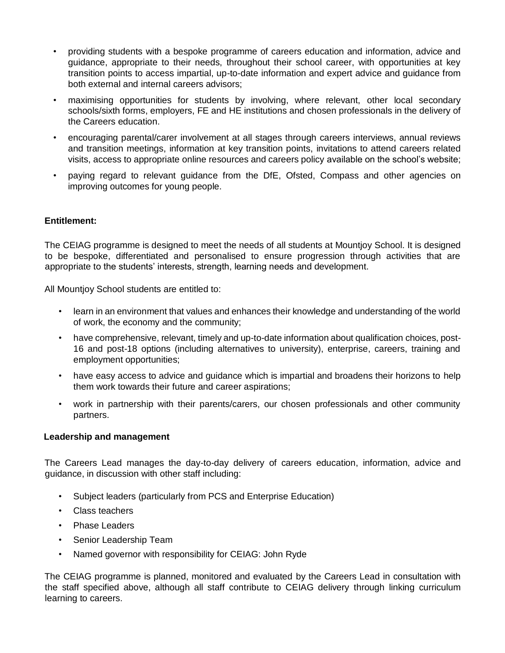- providing students with a bespoke programme of careers education and information, advice and guidance, appropriate to their needs, throughout their school career, with opportunities at key transition points to access impartial, up-to-date information and expert advice and guidance from both external and internal careers advisors;
- maximising opportunities for students by involving, where relevant, other local secondary schools/sixth forms, employers, FE and HE institutions and chosen professionals in the delivery of the Careers education.
- encouraging parental/carer involvement at all stages through careers interviews, annual reviews and transition meetings, information at key transition points, invitations to attend careers related visits, access to appropriate online resources and careers policy available on the school's website;
- paying regard to relevant guidance from the DfE, Ofsted, Compass and other agencies on improving outcomes for young people.

#### **Entitlement:**

The CEIAG programme is designed to meet the needs of all students at Mountjoy School. It is designed to be bespoke, differentiated and personalised to ensure progression through activities that are appropriate to the students' interests, strength, learning needs and development.

All Mountjoy School students are entitled to:

- learn in an environment that values and enhances their knowledge and understanding of the world of work, the economy and the community;
- have comprehensive, relevant, timely and up-to-date information about qualification choices, post-16 and post-18 options (including alternatives to university), enterprise, careers, training and employment opportunities;
- have easy access to advice and guidance which is impartial and broadens their horizons to help them work towards their future and career aspirations;
- work in partnership with their parents/carers, our chosen professionals and other community partners.

#### **Leadership and management**

The Careers Lead manages the day-to-day delivery of careers education, information, advice and guidance, in discussion with other staff including:

- Subject leaders (particularly from PCS and Enterprise Education)
- Class teachers
- Phase Leaders
- Senior Leadership Team
- Named governor with responsibility for CEIAG: John Ryde

The CEIAG programme is planned, monitored and evaluated by the Careers Lead in consultation with the staff specified above, although all staff contribute to CEIAG delivery through linking curriculum learning to careers.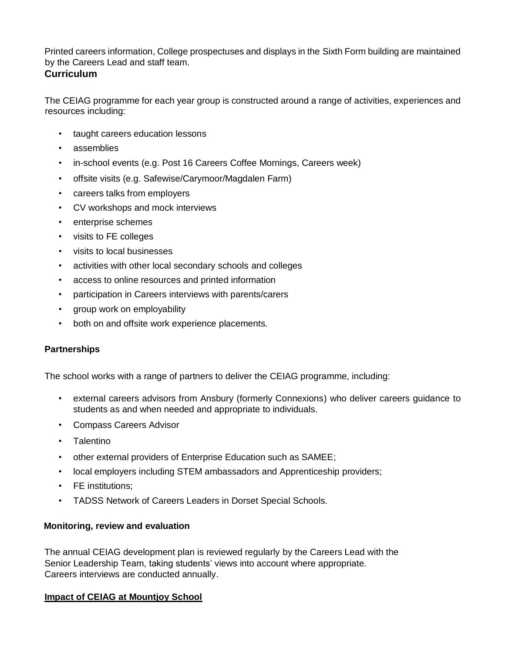Printed careers information, College prospectuses and displays in the Sixth Form building are maintained by the Careers Lead and staff team.

#### **Curriculum**

The CEIAG programme for each year group is constructed around a range of activities, experiences and resources including:

- taught careers education lessons
- assemblies
- in-school events (e.g. Post 16 Careers Coffee Mornings, Careers week)
- offsite visits (e.g. Safewise/Carymoor/Magdalen Farm)
- careers talks from employers
- CV workshops and mock interviews
- enterprise schemes
- visits to FE colleges
- visits to local businesses
- activities with other local secondary schools and colleges
- access to online resources and printed information
- participation in Careers interviews with parents/carers
- group work on employability
- both on and offsite work experience placements.

#### **Partnerships**

The school works with a range of partners to deliver the CEIAG programme, including:

- external careers advisors from Ansbury (formerly Connexions) who deliver careers guidance to students as and when needed and appropriate to individuals.
- Compass Careers Advisor
- Talentino
- other external providers of Enterprise Education such as SAMEE;
- local employers including STEM ambassadors and Apprenticeship providers;
- **FE** institutions:
- TADSS Network of Careers Leaders in Dorset Special Schools.

#### **Monitoring, review and evaluation**

The annual CEIAG development plan is reviewed regularly by the Careers Lead with the Senior Leadership Team, taking students' views into account where appropriate. Careers interviews are conducted annually.

#### **Impact of CEIAG at Mountjoy School**